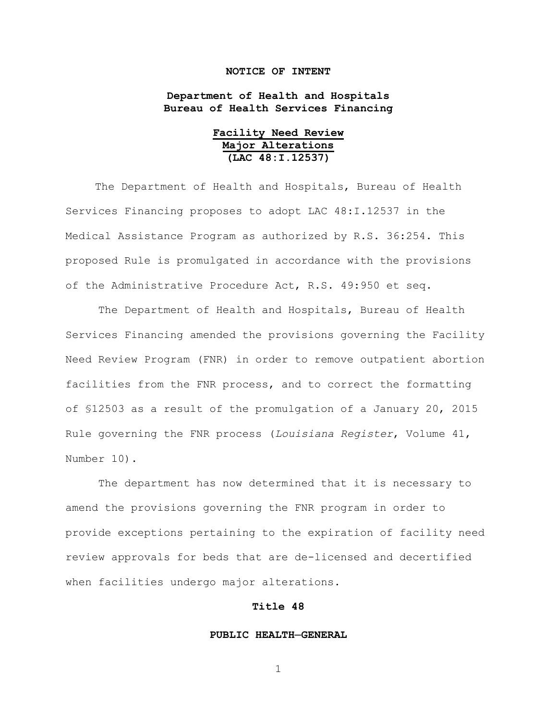## **NOTICE OF INTENT**

# **Department of Health and Hospitals Bureau of Health Services Financing**

| Facility Need Review |  |  |
|----------------------|--|--|
| Major Alterations    |  |  |
| (LAC 48: I.12537)    |  |  |

The Department of Health and Hospitals, Bureau of Health Services Financing proposes to adopt LAC 48:I.12537 in the Medical Assistance Program as authorized by R.S. 36:254. This proposed Rule is promulgated in accordance with the provisions of the Administrative Procedure Act, R.S. 49:950 et seq.

The Department of Health and Hospitals, Bureau of Health Services Financing amended the provisions governing the Facility Need Review Program (FNR) in order to remove outpatient abortion facilities from the FNR process, and to correct the formatting of §12503 as a result of the promulgation of a January 20, 2015 Rule governing the FNR process (*Louisiana Register*, Volume 41, Number 10).

The department has now determined that it is necessary to amend the provisions governing the FNR program in order to provide exceptions pertaining to the expiration of facility need review approvals for beds that are de-licensed and decertified when facilities undergo major alterations.

# **Title 48**

#### **PUBLIC HEALTH─GENERAL**

1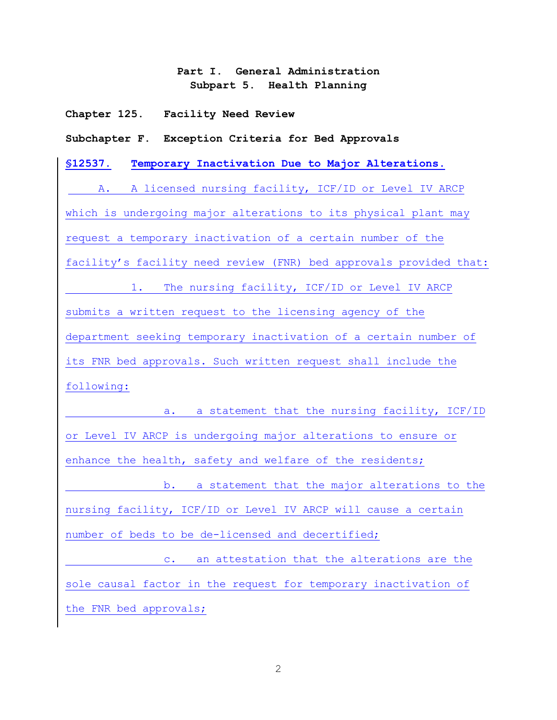# **Part I. General Administration Subpart 5. Health Planning**

**Chapter 125. Facility Need Review**

**Subchapter F. Exception Criteria for Bed Approvals**

**§12537. Temporary Inactivation Due to Major Alterations.**

A. A licensed nursing facility, ICF/ID or Level IV ARCP which is undergoing major alterations to its physical plant may request a temporary inactivation of a certain number of the facility's facility need review (FNR) bed approvals provided that: 1. The nursing facility, ICF/ID or Level IV ARCP submits a written request to the licensing agency of the department seeking temporary inactivation of a certain number of its FNR bed approvals. Such written request shall include the following:

a. a statement that the nursing facility, ICF/ID or Level IV ARCP is undergoing major alterations to ensure or enhance the health, safety and welfare of the residents; b. a statement that the major alterations to the nursing facility, ICF/ID or Level IV ARCP will cause a certain number of beds to be de-licensed and decertified; c. an attestation that the alterations are the sole causal factor in the request for temporary inactivation of the FNR bed approvals;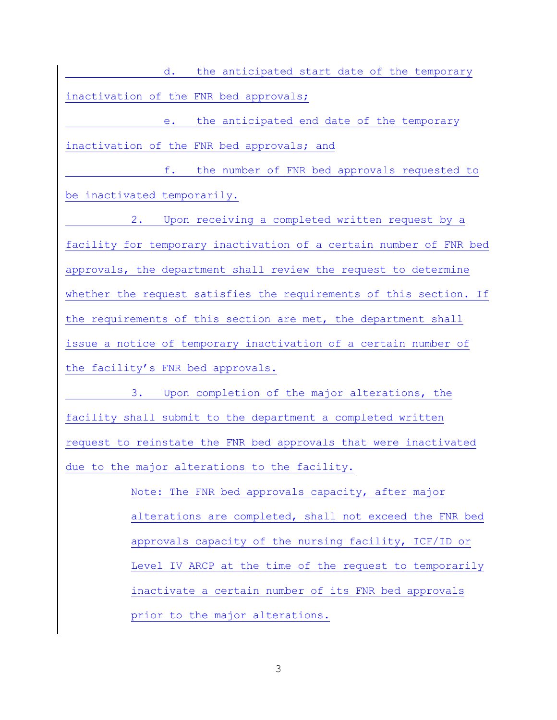d. the anticipated start date of the temporary inactivation of the FNR bed approvals;

e. the anticipated end date of the temporary inactivation of the FNR bed approvals; and

f. the number of FNR bed approvals requested to be inactivated temporarily.

2. Upon receiving a completed written request by a facility for temporary inactivation of a certain number of FNR bed approvals, the department shall review the request to determine whether the request satisfies the requirements of this section. If the requirements of this section are met, the department shall issue a notice of temporary inactivation of a certain number of the facility's FNR bed approvals.

3. Upon completion of the major alterations, the facility shall submit to the department a completed written request to reinstate the FNR bed approvals that were inactivated due to the major alterations to the facility.

> Note: The FNR bed approvals capacity, after major alterations are completed, shall not exceed the FNR bed approvals capacity of the nursing facility, ICF/ID or Level IV ARCP at the time of the request to temporarily inactivate a certain number of its FNR bed approvals prior to the major alterations.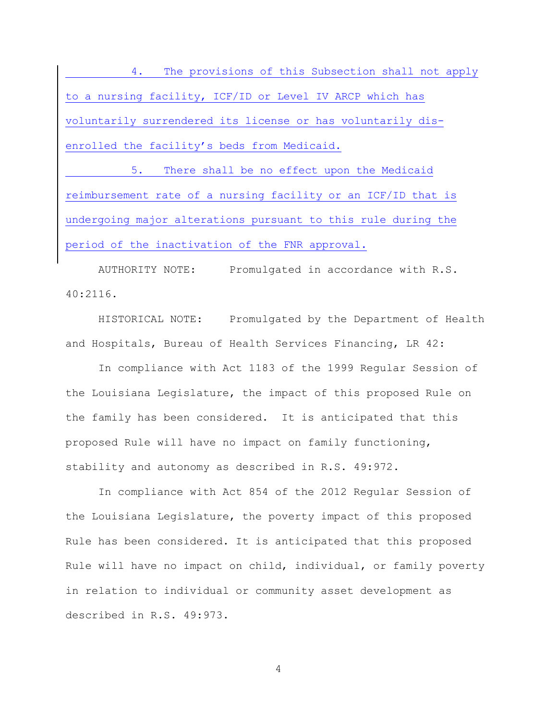4. The provisions of this Subsection shall not apply to a nursing facility, ICF/ID or Level IV ARCP which has voluntarily surrendered its license or has voluntarily disenrolled the facility's beds from Medicaid.

5. There shall be no effect upon the Medicaid reimbursement rate of a nursing facility or an ICF/ID that is undergoing major alterations pursuant to this rule during the period of the inactivation of the FNR approval.

AUTHORITY NOTE: Promulgated in accordance with R.S. 40:2116.

HISTORICAL NOTE: Promulgated by the Department of Health and Hospitals, Bureau of Health Services Financing, LR 42:

In compliance with Act 1183 of the 1999 Regular Session of the Louisiana Legislature, the impact of this proposed Rule on the family has been considered. It is anticipated that this proposed Rule will have no impact on family functioning, stability and autonomy as described in R.S. 49:972.

In compliance with Act 854 of the 2012 Regular Session of the Louisiana Legislature, the poverty impact of this proposed Rule has been considered. It is anticipated that this proposed Rule will have no impact on child, individual, or family poverty in relation to individual or community asset development as described in R.S. 49:973.

4